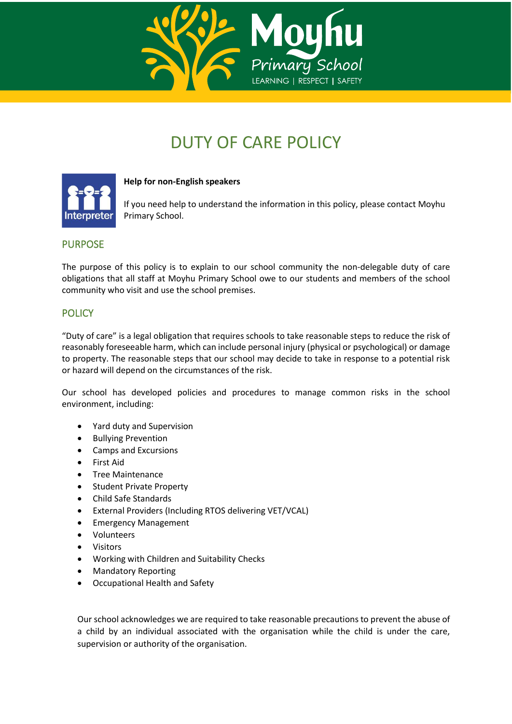

# DUTY OF CARE POLICY



**Help for non-English speakers**

If you need help to understand the information in this policy, please contact Moyhu Primary School.

## PURPOSE

The purpose of this policy is to explain to our school community the non-delegable duty of care obligations that all staff at Moyhu Primary School owe to our students and members of the school community who visit and use the school premises.

## **POLICY**

"Duty of care" is a legal obligation that requires schools to take reasonable steps to reduce the risk of reasonably foreseeable harm, which can include personal injury (physical or psychological) or damage to property. The reasonable steps that our school may decide to take in response to a potential risk or hazard will depend on the circumstances of the risk.

Our school has developed policies and procedures to manage common risks in the school environment, including:

- Yard duty and Supervision
- Bullying Prevention
- Camps and Excursions
- First Aid
- Tree Maintenance
- Student Private Property
- Child Safe Standards
- External Providers (Including RTOS delivering VET/VCAL)
- Emergency Management
- Volunteers
- Visitors
- Working with Children and Suitability Checks
- Mandatory Reporting
- Occupational Health and Safety

Our school acknowledges we are required to take reasonable precautions to prevent the abuse of a child by an individual associated with the organisation while the child is under the care, supervision or authority of the organisation.